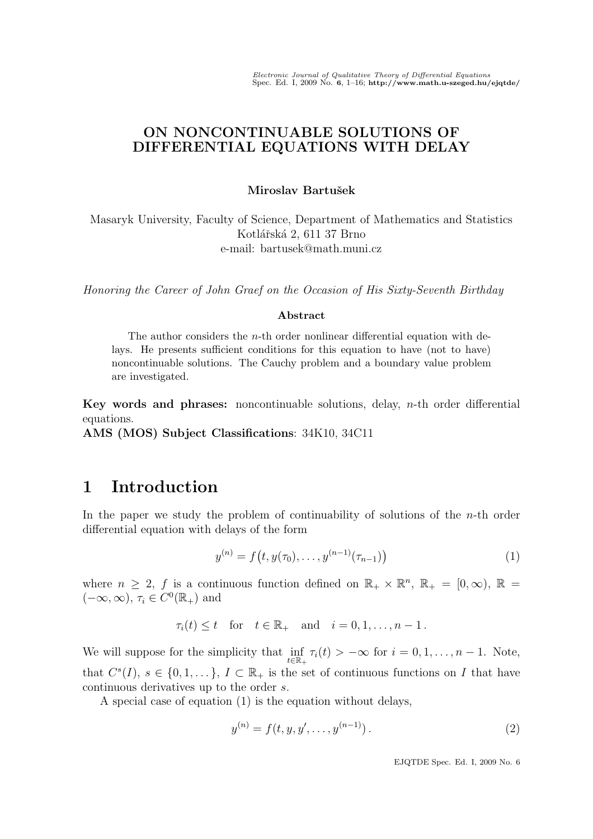## ON NONCONTINUABLE SOLUTIONS OF DIFFERENTIAL EQUATIONS WITH DELAY

#### Miroslav Bartušek

Masaryk University, Faculty of Science, Department of Mathematics and Statistics Kotlářská 2, 611 37 Brno e-mail: bartusek@math.muni.cz

Honoring the Career of John Graef on the Occasion of His Sixty-Seventh Birthday

#### Abstract

The author considers the  $n$ -th order nonlinear differential equation with delays. He presents sufficient conditions for this equation to have (not to have) noncontinuable solutions. The Cauchy problem and a boundary value problem are investigated.

Key words and phrases: noncontinuable solutions, delay,  $n$ -th order differential equations.

AMS (MOS) Subject Classifications: 34K10, 34C11

# 1 Introduction

In the paper we study the problem of continuability of solutions of the  $n$ -th order differential equation with delays of the form

$$
y^{(n)} = f(t, y(\tau_0), \dots, y^{(n-1)}(\tau_{n-1}))
$$
\n(1)

where  $n \geq 2$ , f is a continuous function defined on  $\mathbb{R}_+ \times \mathbb{R}^n$ ,  $\mathbb{R}_+ = [0, \infty)$ ,  $\mathbb{R} =$  $(-\infty, \infty)$ ,  $\tau_i \in C^0(\mathbb{R}_+)$  and

$$
\tau_i(t) \leq t \quad \text{for} \quad t \in \mathbb{R}_+ \quad \text{and} \quad i = 0, 1, \dots, n - 1.
$$

We will suppose for the simplicity that  $\inf_{t \in \mathbb{R}_+} \tau_i(t) > -\infty$  for  $i = 0, 1, \ldots, n - 1$ . Note, that  $C^{s}(I), s \in \{0,1,...\}, I \subset \mathbb{R}_{+}$  is the set of continuous functions on I that have continuous derivatives up to the order s.

A special case of equation (1) is the equation without delays,

$$
y^{(n)} = f(t, y, y', \dots, y^{(n-1)}).
$$
\n(2)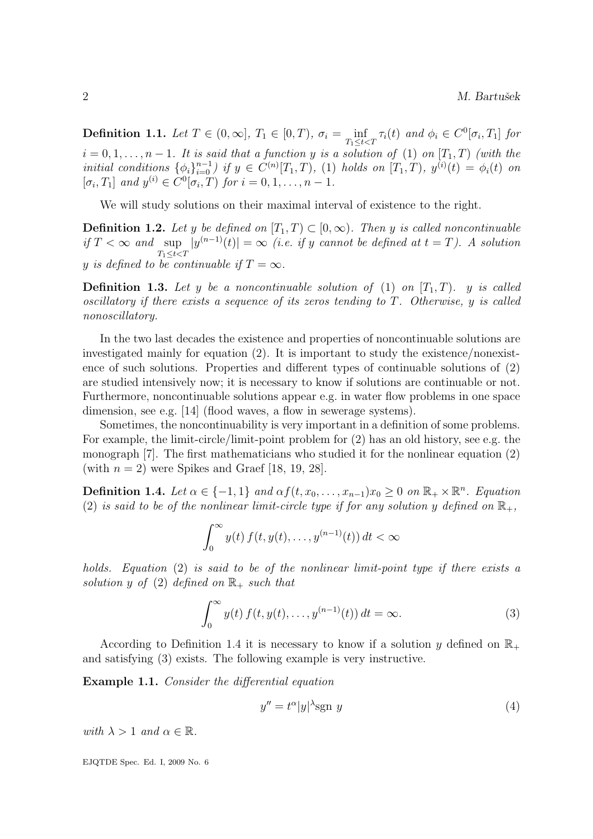**Definition 1.1.** Let  $T \in (0, \infty]$ ,  $T_1 \in [0, T)$ ,  $\sigma_i = \inf_{T_1 \leq t < T} \tau_i(t)$  and  $\phi_i \in C^0[\sigma_i, T_1]$  for  $i = 0, 1, \ldots, n - 1$ . It is said that a function y is a solution of (1) on  $[T_1, T)$  (with the initial conditions  $\{\phi_i\}_{i=0}^{n-1}$  if  $y \in C^{(n)}[T_1, T)$ , (1) holds on  $[T_1, T)$ ,  $y^{(i)}(t) = \phi_i(t)$  on  $[\sigma_i, T_1]$  and  $y^{(i)} \in C^0[\sigma_i, T)$  for  $i = 0, 1, ..., n - 1$ .

We will study solutions on their maximal interval of existence to the right.

**Definition 1.2.** Let y be defined on  $[T_1, T] \subset [0, \infty)$ . Then y is called noncontinuable if  $T < \infty$  and sup  $T_1 \leq t < T$  $|y^{(n-1)}(t)| = \infty$  (i.e. if y cannot be defined at  $t = T$ ). A solution y is defined to be continuable if  $T = \infty$ .

**Definition 1.3.** Let y be a noncontinuable solution of (1) on  $[T_1, T)$ . y is called oscillatory if there exists a sequence of its zeros tending to T. Otherwise, y is called nonoscillatory.

In the two last decades the existence and properties of noncontinuable solutions are investigated mainly for equation (2). It is important to study the existence/nonexistence of such solutions. Properties and different types of continuable solutions of (2) are studied intensively now; it is necessary to know if solutions are continuable or not. Furthermore, noncontinuable solutions appear e.g. in water flow problems in one space dimension, see e.g. [14] (flood waves, a flow in sewerage systems).

Sometimes, the noncontinuability is very important in a definition of some problems. For example, the limit-circle/limit-point problem for (2) has an old history, see e.g. the monograph [7]. The first mathematicians who studied it for the nonlinear equation (2) (with  $n = 2$ ) were Spikes and Graef [18, 19, 28].

**Definition 1.4.** Let  $\alpha \in \{-1, 1\}$  and  $\alpha f(t, x_0, \dots, x_{n-1})x_0 \geq 0$  on  $\mathbb{R}_+ \times \mathbb{R}^n$ . Equation (2) is said to be of the nonlinear limit-circle type if for any solution y defined on  $\mathbb{R}_+$ ,

$$
\int_0^\infty y(t) f(t, y(t), \dots, y^{(n-1)}(t)) dt < \infty
$$

holds. Equation (2) is said to be of the nonlinear limit-point type if there exists a solution y of (2) defined on  $\mathbb{R}_+$  such that

$$
\int_0^\infty y(t) f(t, y(t), \dots, y^{(n-1)}(t)) dt = \infty.
$$
 (3)

According to Definition 1.4 it is necessary to know if a solution y defined on  $\mathbb{R}_+$ and satisfying (3) exists. The following example is very instructive.

Example 1.1. Consider the differential equation

$$
y'' = t^{\alpha}|y|^{\lambda} \text{sgn } y \tag{4}
$$

with  $\lambda > 1$  and  $\alpha \in \mathbb{R}$ .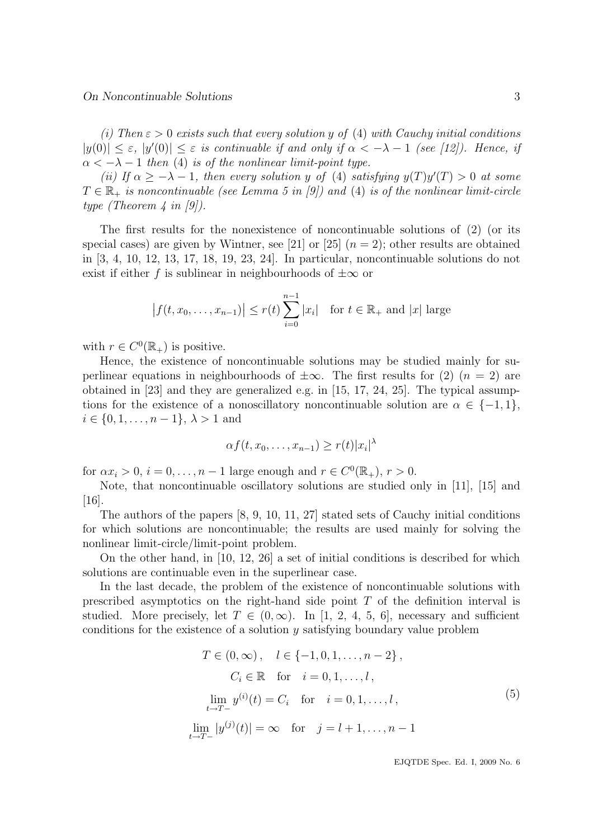(i) Then  $\varepsilon > 0$  exists such that every solution y of (4) with Cauchy initial conditions  $|y(0)| \leq \varepsilon$ ,  $|y'(0)| \leq \varepsilon$  is continuable if and only if  $\alpha < -\lambda - 1$  (see [12]). Hence, if  $\alpha < -\lambda - 1$  then (4) is of the nonlinear limit-point type.

(ii) If  $\alpha \geq -\lambda - 1$ , then every solution y of (4) satisfying  $y(T)y'(T) > 0$  at some  $T \in \mathbb{R}_+$  is noncontinuable (see Lemma 5 in [9]) and (4) is of the nonlinear limit-circle type (Theorem 4 in [9]).

The first results for the nonexistence of noncontinuable solutions of (2) (or its special cases) are given by Wintner, see [21] or [25]  $(n = 2)$ ; other results are obtained in [3, 4, 10, 12, 13, 17, 18, 19, 23, 24]. In particular, noncontinuable solutions do not exist if either f is sublinear in neighbourhoods of  $\pm\infty$  or

$$
|f(t, x_0,...,x_{n-1})| \le r(t) \sum_{i=0}^{n-1} |x_i|
$$
 for  $t \in \mathbb{R}_+$  and  $|x|$  large

with  $r \in C^0(\mathbb{R}_+)$  is positive.

Hence, the existence of noncontinuable solutions may be studied mainly for superlinear equations in neighbourhoods of  $\pm \infty$ . The first results for (2) (n = 2) are obtained in [23] and they are generalized e.g. in [15, 17, 24, 25]. The typical assumptions for the existence of a nonoscillatory noncontinuable solution are  $\alpha \in \{-1,1\}$ ,  $i \in \{0, 1, \ldots, n-1\}, \lambda > 1$  and

$$
\alpha f(t, x_0, \dots, x_{n-1}) \ge r(t) |x_i|^\lambda
$$

for  $\alpha x_i > 0$ ,  $i = 0, \ldots, n - 1$  large enough and  $r \in C^0(\mathbb{R}_+), r > 0$ .

Note, that noncontinuable oscillatory solutions are studied only in [11], [15] and [16].

The authors of the papers [8, 9, 10, 11, 27] stated sets of Cauchy initial conditions for which solutions are noncontinuable; the results are used mainly for solving the nonlinear limit-circle/limit-point problem.

On the other hand, in [10, 12, 26] a set of initial conditions is described for which solutions are continuable even in the superlinear case.

In the last decade, the problem of the existence of noncontinuable solutions with prescribed asymptotics on the right-hand side point  $T$  of the definition interval is studied. More precisely, let  $T \in (0,\infty)$ . In [1, 2, 4, 5, 6], necessary and sufficient conditions for the existence of a solution  $y$  satisfying boundary value problem

$$
T \in (0, \infty), \quad l \in \{-1, 0, 1, \dots, n-2\},
$$
  
\n
$$
C_i \in \mathbb{R} \quad \text{for} \quad i = 0, 1, \dots, l,
$$
  
\n
$$
\lim_{t \to T-} y^{(i)}(t) = C_i \quad \text{for} \quad i = 0, 1, \dots, l,
$$
  
\n
$$
\lim_{t \to T-} |y^{(j)}(t)| = \infty \quad \text{for} \quad j = l+1, \dots, n-1
$$
 (5)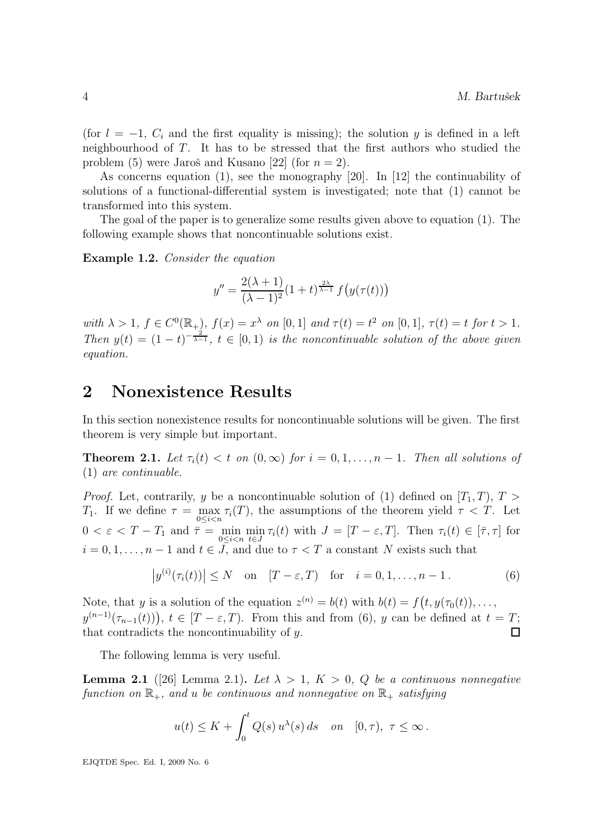(for  $l = -1$ ,  $C_i$  and the first equality is missing); the solution y is defined in a left neighbourhood of T. It has to be stressed that the first authors who studied the problem (5) were Jaroš and Kusano [22] (for  $n = 2$ ).

As concerns equation (1), see the monography [20]. In [12] the continuability of solutions of a functional-differential system is investigated; note that (1) cannot be transformed into this system.

The goal of the paper is to generalize some results given above to equation (1). The following example shows that noncontinuable solutions exist.

Example 1.2. Consider the equation

$$
y'' = \frac{2(\lambda + 1)}{(\lambda - 1)^2} (1 + t)^{\frac{2\lambda}{\lambda - 1}} f(y(\tau(t)))
$$

with  $\lambda > 1$ ,  $f \in C^{0}(\mathbb{R}_{+})$ ,  $f(x) = x^{\lambda}$  on  $[0, 1]$  and  $\tau(t) = t^2$  on  $[0, 1]$ ,  $\tau(t) = t$  for  $t > 1$ . Then  $y(t) = (1-t)^{-\frac{2}{\lambda-1}}$ ,  $t \in [0,1)$  is the noncontinuable solution of the above given equation.

## 2 Nonexistence Results

In this section nonexistence results for noncontinuable solutions will be given. The first theorem is very simple but important.

**Theorem 2.1.** Let  $\tau_i(t) < t$  on  $(0,\infty)$  for  $i = 0,1,\ldots,n-1$ . Then all solutions of (1) are continuable.

*Proof.* Let, contrarily, y be a noncontinuable solution of (1) defined on  $[T_1, T)$ ,  $T >$ T<sub>1</sub>. If we define  $\tau = \max_{0 \le i \le n} \tau_i(T)$ , the assumptions of the theorem yield  $\tau < T$ . Let  $0 < \varepsilon < T - T_1$  and  $\overline{\tau} = \min_{0 \le i < n} \min_{t \in J} \tau_i(t)$  with  $J = [T - \varepsilon, T]$ . Then  $\tau_i(t) \in [\overline{\tau}, \tau]$  for  $i = 0, 1, \ldots, n - 1$  and  $t \in J$ , and due to  $\tau < T$  a constant N exists such that

$$
|y^{(i)}(\tau_i(t))| \le N
$$
 on  $[T - \varepsilon, T)$  for  $i = 0, 1, ..., n - 1$ . (6)

Note, that y is a solution of the equation  $z^{(n)} = b(t)$  with  $b(t) = f(t, y(\tau_0(t)), \ldots,$  $y^{(n-1)}(\tau_{n-1}(t))$ ,  $t \in [T - \varepsilon, T)$ . From this and from (6), y can be defined at  $t = T$ ; that contradicts the noncontinuability of  $y$ .  $\Box$ 

The following lemma is very useful.

**Lemma 2.1** ([26] Lemma 2.1). Let  $\lambda > 1$ ,  $K > 0$ , Q be a continuous nonnegative function on  $\mathbb{R}_+$ , and u be continuous and nonnegative on  $\mathbb{R}_+$  satisfying

$$
u(t) \leq K + \int_0^t Q(s) u^{\lambda}(s) ds
$$
 on  $[0, \tau)$ ,  $\tau \leq \infty$ .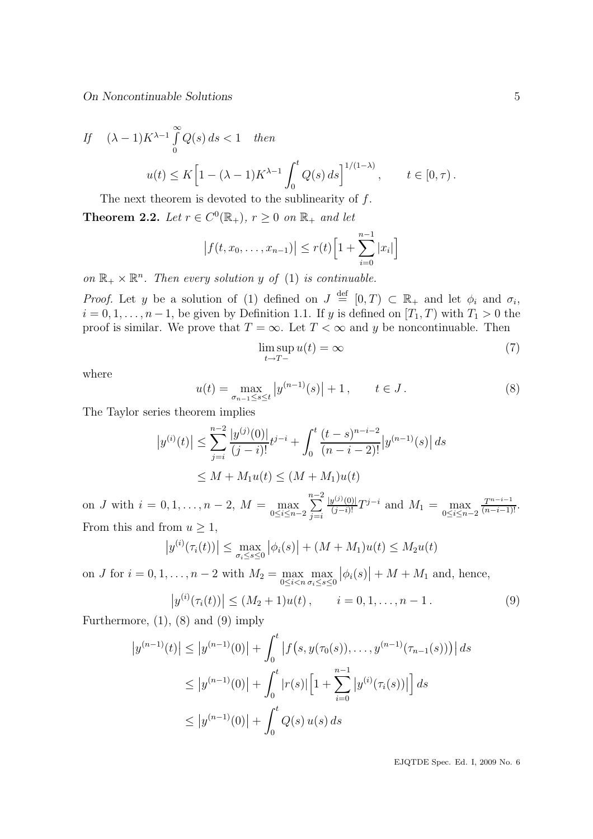On Noncontinuable Solutions 5

If 
$$
(\lambda - 1)K^{\lambda - 1} \int_{0}^{\infty} Q(s) ds < 1
$$
 then  

$$
u(t) \leq K \Big[ 1 - (\lambda - 1)K^{\lambda - 1} \int_{0}^{t} Q(s) ds \Big]^{1/(1 - \lambda)}, \qquad t \in [0, \tau).
$$

The next theorem is devoted to the sublinearity of  $f$ .

**Theorem 2.2.** Let  $r \in C^0(\mathbb{R}_+), r \geq 0$  on  $\mathbb{R}_+$  and let

$$
|f(t, x_0, ..., x_{n-1})| \le r(t) \left[1 + \sum_{i=0}^{n-1} |x_i|\right]
$$

on  $\mathbb{R}_+ \times \mathbb{R}^n$ . Then every solution y of (1) is continuable.

*Proof.* Let y be a solution of (1) defined on  $J \stackrel{\text{def}}{=} [0,T) \subset \mathbb{R}_+$  and let  $\phi_i$  and  $\sigma_i$ ,  $i = 0, 1, \ldots, n-1$ , be given by Definition 1.1. If y is defined on  $[T_1, T)$  with  $T_1 > 0$  the proof is similar. We prove that  $T = \infty$ . Let  $T < \infty$  and y be noncontinuable. Then

$$
\limsup_{t \to T-} u(t) = \infty \tag{7}
$$

where

$$
u(t) = \max_{\sigma_{n-1} \le s \le t} |y^{(n-1)}(s)| + 1, \qquad t \in J.
$$
 (8)

The Taylor series theorem implies

$$
|y^{(i)}(t)| \le \sum_{j=i}^{n-2} \frac{|y^{(j)}(0)|}{(j-i)!} t^{j-i} + \int_0^t \frac{(t-s)^{n-i-2}}{(n-i-2)!} |y^{(n-1)}(s)| ds
$$
  

$$
\le M + M_1 u(t) \le (M + M_1)u(t)
$$

on *J* with  $i = 0, 1, ..., n - 2$ ,  $M = \max_{0 \le i \le n-2}$  $\sum^{n-2}$  $j = i$  $\frac{|y^{(j)}(0)|}{(j-i)!}T^{j-i}$  and  $M_1 = \max_{0 \le i \le n-2}$  $\frac{T^{n-i-1}}{(n-i-1)!}$ . From this and from  $u \geq 1$ ,

$$
|y^{(i)}(\tau_i(t))| \le \max_{\sigma_i \le s \le 0} |\phi_i(s)| + (M + M_1)u(t) \le M_2u(t)
$$

on *J* for  $i = 0, 1, \ldots, n - 2$  with  $M_2 = \max_{0 \leq i < n} \max_{\sigma_i \leq s \leq 0}$  $|\phi_i(s)| + M + M_1$  and, hence,

$$
\left| y^{(i)}(\tau_i(t)) \right| \le (M_2 + 1)u(t), \qquad i = 0, 1, \dots, n - 1.
$$
 (9)

Furthermore,  $(1)$ ,  $(8)$  and  $(9)$  imply

$$
\left| y^{(n-1)}(t) \right| \le \left| y^{(n-1)}(0) \right| + \int_0^t \left| f(s, y(\tau_0(s)), \dots, y^{(n-1)}(\tau_{n-1}(s))) \right| ds
$$
  
\n
$$
\le \left| y^{(n-1)}(0) \right| + \int_0^t \left| r(s) \right| \left[ 1 + \sum_{i=0}^{n-1} \left| y^{(i)}(\tau_i(s)) \right| \right] ds
$$
  
\n
$$
\le \left| y^{(n-1)}(0) \right| + \int_0^t Q(s) u(s) ds
$$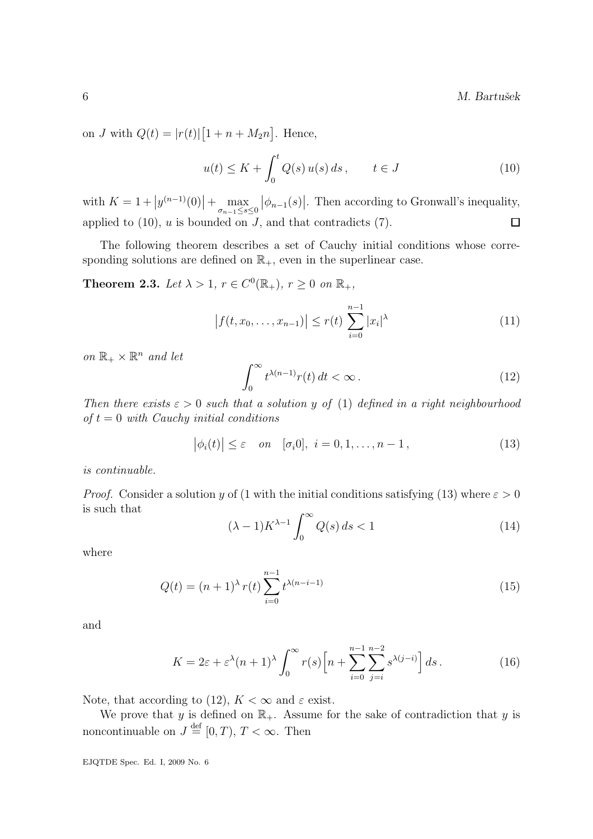$M.$  Bartušek

on J with  $Q(t) = |r(t)| [1 + n + M_2 n]$ . Hence,

$$
u(t) \le K + \int_0^t Q(s) u(s) ds, \qquad t \in J
$$
\n(10)

with  $K = 1 + |y^{(n-1)}(0)| + \max_{\sigma_{n-1} \le s \le 0}$  $|\phi_{n-1}(s)|$ . Then according to Gronwall's inequality, applied to  $(10)$ , u is bounded on J, and that contradicts  $(7)$ .  $\Box$ 

The following theorem describes a set of Cauchy initial conditions whose corresponding solutions are defined on  $\mathbb{R}_+$ , even in the superlinear case.

**Theorem 2.3.** Let  $\lambda > 1$ ,  $r \in C^0(\mathbb{R}_+), r \geq 0$  on  $\mathbb{R}_+$ ,

$$
\left| f(t, x_0, \dots, x_{n-1}) \right| \le r(t) \sum_{i=0}^{n-1} |x_i|^\lambda \tag{11}
$$

on  $\mathbb{R}_+ \times \mathbb{R}^n$  and let

$$
\int_0^\infty t^{\lambda(n-1)} r(t) dt < \infty.
$$
 (12)

Then there exists  $\varepsilon > 0$  such that a solution y of (1) defined in a right neighbourhood of  $t = 0$  with Cauchy initial conditions

$$
\left|\phi_i(t)\right| \leq \varepsilon \quad \text{on} \quad [\sigma_i 0], \ i = 0, 1, \dots, n-1,
$$
\n(13)

is continuable.

*Proof.* Consider a solution y of (1 with the initial conditions satisfying (13) where  $\varepsilon > 0$ is such that

$$
(\lambda - 1)K^{\lambda - 1} \int_0^\infty Q(s) \, ds < 1 \tag{14}
$$

where

$$
Q(t) = (n+1)^{\lambda} r(t) \sum_{i=0}^{n-1} t^{\lambda(n-i-1)}
$$
\n(15)

and

$$
K = 2\varepsilon + \varepsilon^{\lambda}(n+1)^{\lambda} \int_0^{\infty} r(s) \left[ n + \sum_{i=0}^{n-1} \sum_{j=i}^{n-2} s^{\lambda(j-i)} \right] ds.
$$
 (16)

Note, that according to (12),  $K < \infty$  and  $\varepsilon$  exist.

We prove that y is defined on  $\mathbb{R}_+$ . Assume for the sake of contradiction that y is noncontinuable on  $J \stackrel{\text{def}}{=} [0, T), T < \infty$ . Then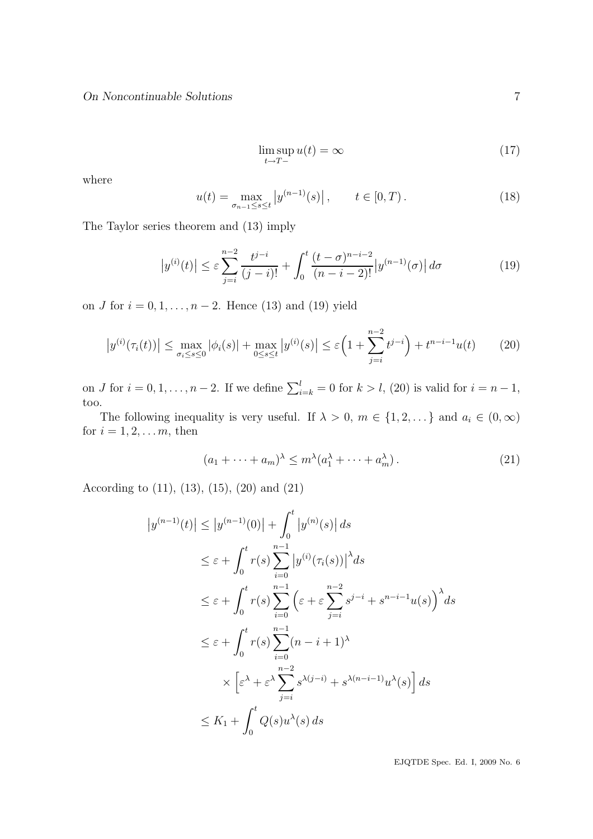$$
\limsup_{t \to T-} u(t) = \infty \tag{17}
$$

where

$$
u(t) = \max_{\sigma_{n-1} \le s \le t} |y^{(n-1)}(s)|, \qquad t \in [0, T). \tag{18}
$$

The Taylor series theorem and (13) imply

$$
\left| y^{(i)}(t) \right| \le \varepsilon \sum_{j=i}^{n-2} \frac{t^{j-i}}{(j-i)!} + \int_0^t \frac{(t-\sigma)^{n-i-2}}{(n-i-2)!} |y^{(n-1)}(\sigma)| d\sigma \tag{19}
$$

on *J* for  $i = 0, 1, ..., n - 2$ . Hence (13) and (19) yield

$$
\left| y^{(i)}(\tau_i(t)) \right| \le \max_{\sigma_i \le s \le 0} |\phi_i(s)| + \max_{0 \le s \le t} |y^{(i)}(s)| \le \varepsilon \left( 1 + \sum_{j=i}^{n-2} t^{j-i} \right) + t^{n-i-1} u(t) \tag{20}
$$

on *J* for  $i = 0, 1, \ldots, n - 2$ . If we define  $\sum_{i=k}^{l} = 0$  for  $k > l$ , (20) is valid for  $i = n - 1$ , too.

The following inequality is very useful. If  $\lambda > 0$ ,  $m \in \{1, 2, \dots\}$  and  $a_i \in (0, \infty)$ for  $i = 1, 2, \ldots m$ , then

$$
(a_1 + \dots + a_m)^{\lambda} \le m^{\lambda} (a_1^{\lambda} + \dots + a_m^{\lambda}). \tag{21}
$$

According to (11), (13), (15), (20) and (21)

$$
|y^{(n-1)}(t)| \le |y^{(n-1)}(0)| + \int_0^t |y^{(n)}(s)| ds
$$
  
\n
$$
\le \varepsilon + \int_0^t r(s) \sum_{i=0}^{n-1} |y^{(i)}(\tau_i(s))|^{\lambda} ds
$$
  
\n
$$
\le \varepsilon + \int_0^t r(s) \sum_{i=0}^{n-1} (\varepsilon + \varepsilon \sum_{j=i}^{n-2} s^{j-i} + s^{n-i-1} u(s))^{\lambda} ds
$$
  
\n
$$
\le \varepsilon + \int_0^t r(s) \sum_{i=0}^{n-1} (n-i+1)^{\lambda}
$$
  
\n
$$
\times \left[ \varepsilon^{\lambda} + \varepsilon^{\lambda} \sum_{j=i}^{n-2} s^{\lambda(j-i)} + s^{\lambda(n-i-1)} u^{\lambda}(s) \right] ds
$$
  
\n
$$
\le K_1 + \int_0^t Q(s) u^{\lambda}(s) ds
$$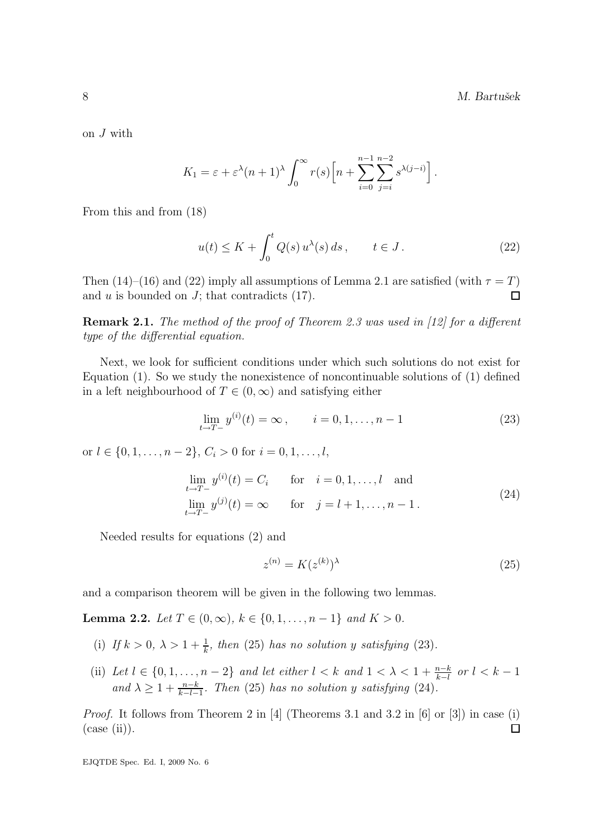on J with

$$
K_1 = \varepsilon + \varepsilon^{\lambda} (n+1)^{\lambda} \int_0^{\infty} r(s) \left[ n + \sum_{i=0}^{n-1} \sum_{j=i}^{n-2} s^{\lambda(j-i)} \right].
$$

From this and from (18)

$$
u(t) \le K + \int_0^t Q(s) u^{\lambda}(s) ds, \qquad t \in J.
$$
 (22)

Then (14)–(16) and (22) imply all assumptions of Lemma 2.1 are satisfied (with  $\tau = T$ ) and  $u$  is bounded on  $J$ ; that contradicts  $(17)$ .  $\Box$ 

Remark 2.1. The method of the proof of Theorem 2.3 was used in [12] for a different type of the differential equation.

Next, we look for sufficient conditions under which such solutions do not exist for Equation (1). So we study the nonexistence of noncontinuable solutions of (1) defined in a left neighbourhood of  $T \in (0, \infty)$  and satisfying either

$$
\lim_{t \to T-} y^{(i)}(t) = \infty, \qquad i = 0, 1, \dots, n-1
$$
\n(23)

or  $l \in \{0, 1, \ldots, n-2\}, C_i > 0$  for  $i = 0, 1, \ldots, l$ ,

$$
\lim_{t \to T-} y^{(i)}(t) = C_i \quad \text{for} \quad i = 0, 1, ..., l \quad \text{and}
$$
\n
$$
\lim_{t \to T-} y^{(j)}(t) = \infty \quad \text{for} \quad j = l+1, ..., n-1.
$$
\n(24)

Needed results for equations (2) and

$$
z^{(n)} = K(z^{(k)})^{\lambda} \tag{25}
$$

and a comparison theorem will be given in the following two lemmas.

Lemma 2.2. Let  $T \in (0, \infty)$ ,  $k \in \{0, 1, ..., n-1\}$  and  $K > 0$ .

- (i) If  $k > 0$ ,  $\lambda > 1 + \frac{1}{k}$ , then (25) has no solution y satisfying (23).
- (ii) Let  $l \in \{0, 1, \ldots, n-2\}$  and let either  $l < k$  and  $1 < \lambda < 1 + \frac{n-k}{k-l}$  or  $l < k-1$ and  $\lambda \geq 1 + \frac{n-k}{k-l-1}$ . Then (25) has no solution y satisfying (24).

Proof. It follows from Theorem 2 in [4] (Theorems 3.1 and 3.2 in [6] or [3]) in case (i)  $(\text{case (ii)}).$  $\Box$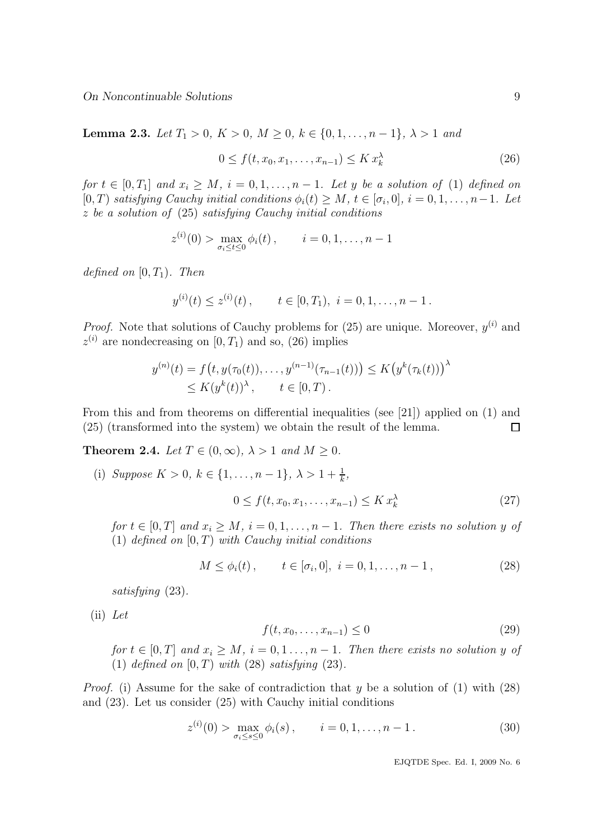Lemma 2.3. Let  $T_1 > 0, K > 0, M \ge 0, k \in \{0, 1, \ldots, n-1\}, \lambda > 1$  and

$$
0 \le f(t, x_0, x_1, \dots, x_{n-1}) \le K x_k^{\lambda}
$$
\n
$$
(26)
$$

for  $t \in [0, T_1]$  and  $x_i \geq M$ ,  $i = 0, 1, ..., n - 1$ . Let y be a solution of (1) defined on  $[0, T)$  satisfying Cauchy initial conditions  $\phi_i(t) \geq M$ ,  $t \in [\sigma_i, 0]$ ,  $i = 0, 1, \ldots, n-1$ . Let z be a solution of (25) satisfying Cauchy initial conditions

$$
z^{(i)}(0) > \max_{\sigma_i \le t \le 0} \phi_i(t), \qquad i = 0, 1, \ldots, n-1
$$

defined on  $[0, T_1)$ . Then

$$
y^{(i)}(t) \le z^{(i)}(t)
$$
,  $t \in [0, T_1)$ ,  $i = 0, 1, ..., n - 1$ .

*Proof.* Note that solutions of Cauchy problems for  $(25)$  are unique. Moreover,  $y^{(i)}$  and  $z^{(i)}$  are nondecreasing on  $[0, T_1)$  and so,  $(26)$  implies

$$
y^{(n)}(t) = f(t, y(\tau_0(t)), \dots, y^{(n-1)}(\tau_{n-1}(t))) \le K(y^k(\tau_k(t)))^{\lambda} \le K(y^k(t))^{\lambda}, \quad t \in [0, T).
$$

From this and from theorems on differential inequalities (see [21]) applied on (1) and (25) (transformed into the system) we obtain the result of the lemma.  $\Box$ 

**Theorem 2.4.** Let  $T \in (0, \infty)$ ,  $\lambda > 1$  and  $M \ge 0$ .

(i) Suppose  $K > 0, k \in \{1, ..., n-1\}, \lambda > 1 + \frac{1}{k},$  $0 \le f(t, x_0, x_1, \ldots, x_{n-1}) \le K x_k^{\lambda}$ (27)

for  $t \in [0, T]$  and  $x_i \geq M$ ,  $i = 0, 1, ..., n - 1$ . Then there exists no solution y of (1) defined on  $[0, T)$  with Cauchy initial conditions

$$
M \le \phi_i(t), \qquad t \in [\sigma_i, 0], \ i = 0, 1, \dots, n - 1,
$$
\n(28)

satisfying  $(23)$ .

(ii) Let

$$
f(t, x_0, \dots, x_{n-1}) \le 0
$$
\n(29)

for  $t \in [0, T]$  and  $x_i > M$ ,  $i = 0, 1, ..., n-1$ . Then there exists no solution y of (1) defined on  $[0, T)$  with (28) satisfying (23).

*Proof.* (i) Assume for the sake of contradiction that y be a solution of  $(1)$  with  $(28)$ and (23). Let us consider (25) with Cauchy initial conditions

$$
z^{(i)}(0) > \max_{\sigma_i \le s \le 0} \phi_i(s), \qquad i = 0, 1, \dots, n-1.
$$
 (30)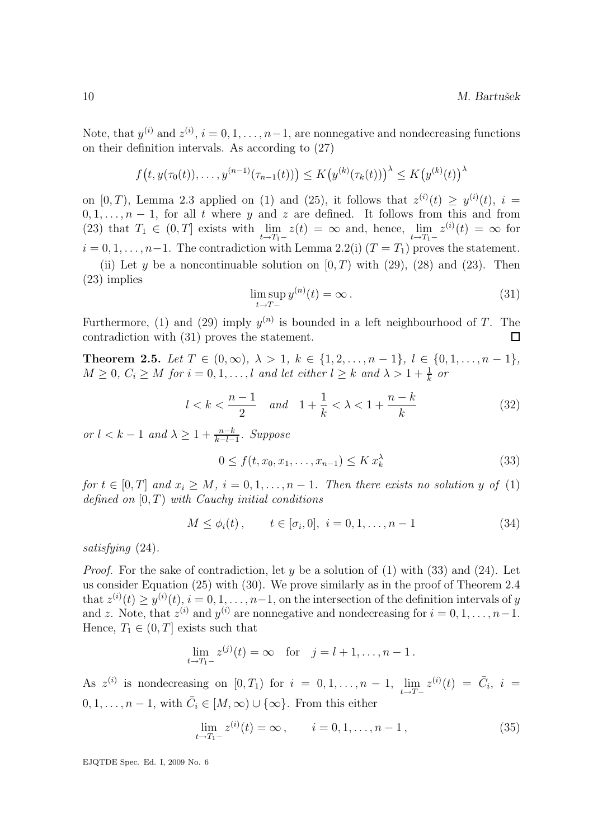Note, that  $y^{(i)}$  and  $z^{(i)}$ ,  $i = 0, 1, ..., n-1$ , are nonnegative and nondecreasing functions on their definition intervals. As according to (27)

$$
f(t, y(\tau_0(t)), \dots, y^{(n-1)}(\tau_{n-1}(t))) \le K(y^{(k)}(\tau_k(t)))^{\lambda} \le K(y^{(k)}(t))^{\lambda}
$$

on  $[0, T)$ , Lemma 2.3 applied on (1) and (25), it follows that  $z^{(i)}(t) \geq y^{(i)}(t)$ ,  $i =$  $0, 1, \ldots, n-1$ , for all t where y and z are defined. It follows from this and from (23) that  $T_1 \in (0,T]$  exists with  $\lim_{t \to T_1^-} z(t) = \infty$  and, hence,  $\lim_{t \to T_1^-} z^{(i)}(t) = \infty$  for  $i = 0, 1, \ldots, n-1$ . The contradiction with Lemma 2.2(i)  $(T = T_1)$  proves the statement.

(ii) Let y be a noncontinuable solution on  $(0, T)$  with (29), (28) and (23). Then (23) implies

$$
\limsup_{t \to T-} y^{(n)}(t) = \infty.
$$
\n(31)

Furthermore, (1) and (29) imply  $y^{(n)}$  is bounded in a left neighbourhood of T. The contradiction with (31) proves the statement.  $\Box$ 

Theorem 2.5. Let  $T \in (0, \infty)$ ,  $\lambda > 1$ ,  $k \in \{1, 2, ..., n-1\}$ ,  $l \in \{0, 1, ..., n-1\}$ ,  $M \geq 0, C_i \geq M$  for  $i = 0, 1, \ldots, l$  and let either  $l \geq k$  and  $\lambda > 1 + \frac{1}{k}$  or

$$
l < k < \frac{n-1}{2} \quad and \quad 1 + \frac{1}{k} < \lambda < 1 + \frac{n-k}{k} \tag{32}
$$

or  $l < k - 1$  and  $\lambda \geq 1 + \frac{n-k}{k-l-1}$ . Suppose

$$
0 \le f(t, x_0, x_1, \dots, x_{n-1}) \le K x_k^{\lambda}
$$
\n
$$
(33)
$$

for  $t \in [0, T]$  and  $x_i \geq M$ ,  $i = 0, 1, ..., n - 1$ . Then there exists no solution y of (1) defined on  $[0, T)$  with Cauchy initial conditions

$$
M \le \phi_i(t), \qquad t \in [\sigma_i, 0], \ i = 0, 1, \dots, n - 1 \tag{34}
$$

satisfying (24).

*Proof.* For the sake of contradiction, let y be a solution of  $(1)$  with  $(33)$  and  $(24)$ . Let us consider Equation (25) with (30). We prove similarly as in the proof of Theorem 2.4 that  $z^{(i)}(t) \ge y^{(i)}(t), i = 0, 1, \ldots, n-1$ , on the intersection of the definition intervals of y and z. Note, that  $z^{(i)}$  and  $y^{(i)}$  are nonnegative and nondecreasing for  $i = 0, 1, ..., n-1$ . Hence,  $T_1 \in (0, T]$  exists such that

$$
\lim_{t \to T_1-} z^{(j)}(t) = \infty \text{ for } j = l+1, \dots, n-1.
$$

As  $z^{(i)}$  is nondecreasing on  $[0, T_1)$  for  $i = 0, 1, \ldots, n - 1$ ,  $\lim_{t \to T-} z^{(i)}(t) = \overline{C}_i$ ,  $i =$  $0, 1, \ldots, n-1$ , with  $\overline{C}_i \in [M, \infty) \cup \{\infty\}$ . From this either

$$
\lim_{t \to T_1-} z^{(i)}(t) = \infty, \qquad i = 0, 1, \dots, n-1,
$$
\n(35)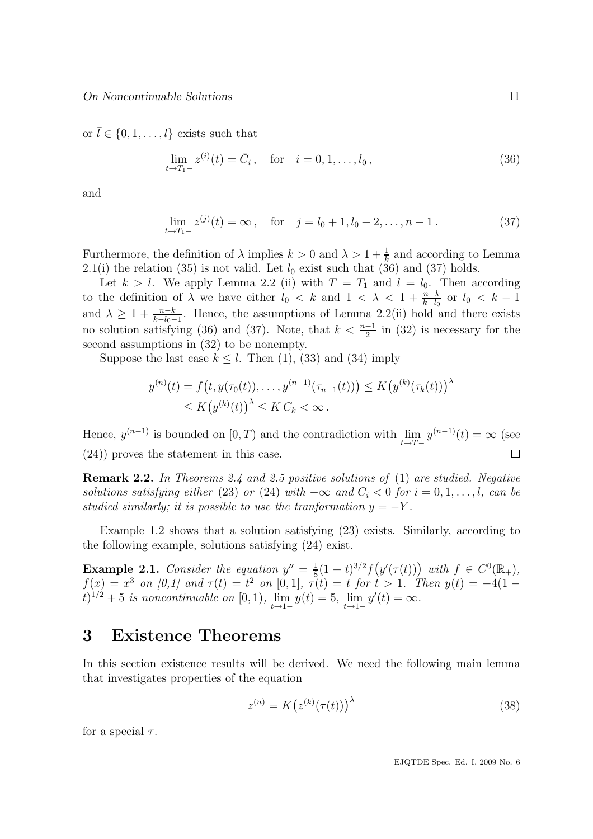or  $\bar{l} \in \{0, 1, \ldots, l\}$  exists such that

$$
\lim_{t \to T_1^-} z^{(i)}(t) = \bar{C}_i, \quad \text{for} \quad i = 0, 1, \dots, l_0,
$$
\n(36)

and

$$
\lim_{t \to T_1-} z^{(j)}(t) = \infty, \quad \text{for} \quad j = l_0 + 1, l_0 + 2, \dots, n - 1. \tag{37}
$$

Furthermore, the definition of  $\lambda$  implies  $k > 0$  and  $\lambda > 1 + \frac{1}{k}$  and according to Lemma 2.1(i) the relation (35) is not valid. Let  $l_0$  exist such that (36) and (37) holds.

Let  $k > l$ . We apply Lemma 2.2 (ii) with  $T = T_1$  and  $l = l_0$ . Then according to the definition of  $\lambda$  we have either  $l_0 < k$  and  $1 < \lambda < 1 + \frac{n-k}{k-l_0}$  or  $l_0 < k-1$ and  $\lambda \geq 1 + \frac{n-k}{k-l_0-1}$ . Hence, the assumptions of Lemma 2.2(ii) hold and there exists no solution satisfying (36) and (37). Note, that  $k < \frac{n-1}{2}$  in (32) is necessary for the second assumptions in (32) to be nonempty.

Suppose the last case  $k \leq l$ . Then (1), (33) and (34) imply

$$
y^{(n)}(t) = f(t, y(\tau_0(t)), \dots, y^{(n-1)}(\tau_{n-1}(t))) \le K (y^{(k)}(\tau_k(t)))^{\lambda} \le K (y^{(k)}(t))^{\lambda} \le K C_k < \infty.
$$

Hence,  $y^{(n-1)}$  is bounded on  $[0, T)$  and the contradiction with  $\lim_{t \to T-} y^{(n-1)}(t) = \infty$  (see (24)) proves the statement in this case.  $\Box$ 

Remark 2.2. In Theorems 2.4 and 2.5 positive solutions of (1) are studied. Negative solutions satisfying either (23) or (24) with  $-\infty$  and  $C_i < 0$  for  $i = 0, 1, \ldots, l$ , can be studied similarly; it is possible to use the tranformation  $y = -Y$ .

Example 1.2 shows that a solution satisfying (23) exists. Similarly, according to the following example, solutions satisfying (24) exist.

**Example 2.1.** Consider the equation  $y'' = \frac{1}{8}$  $\frac{1}{8}(1+t)^{3/2}f(y'(\tau(t)))$  with  $f \in C^{0}(\mathbb{R}_{+}),$  $f(x) = x^3$  on [0,1] and  $\tau(t) = t^2$  on [0,1],  $\tau(t) = t$  for  $t > 1$ . Then  $y(t) = -4(1 (t)^{1/2} + 5$  is noncontinuable on [0, 1),  $\lim_{t \to 1^-} y(t) = 5$ ,  $\lim_{t \to 1^-} y'(t) = \infty$ .

## 3 Existence Theorems

In this section existence results will be derived. We need the following main lemma that investigates properties of the equation

$$
z^{(n)} = K(z^{(k)}(\tau(t)))^{\lambda}
$$
\n(38)

for a special  $\tau$ .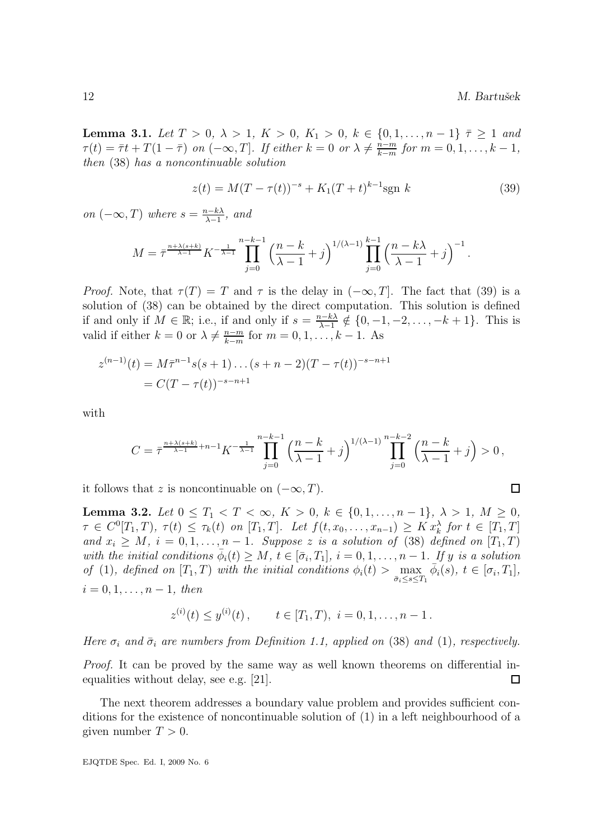**Lemma 3.1.** Let  $T > 0$ ,  $\lambda > 1$ ,  $K > 0$ ,  $K_1 > 0$ ,  $k \in \{0, 1, ..., n-1\}$   $\overline{\tau} \geq 1$  and  $\tau(t) = \bar{\tau}t + T(1-\bar{\tau})$  on  $(-\infty,T]$ . If either  $k = 0$  or  $\lambda \neq \frac{n-m}{k-m}$  $\frac{n-m}{k-m}$  for  $m = 0, 1, \ldots, k-1$ , then (38) has a noncontinuable solution

$$
z(t) = M(T - \tau(t))^{-s} + K_1(T + t)^{k-1} \text{sgn } k \tag{39}
$$

on  $(-\infty,T)$  where  $s=\frac{n-k\lambda}{\lambda-1}$  $\frac{\lambda - k\lambda}{\lambda - 1}$ , and

$$
M = \bar{\tau}^{\frac{n + \lambda(s+k)}{\lambda-1}} K^{-\frac{1}{\lambda-1}} \prod_{j=0}^{n-k-1} \left( \frac{n-k}{\lambda-1} + j \right)^{1/(\lambda-1)} \prod_{j=0}^{k-1} \left( \frac{n-k\lambda}{\lambda-1} + j \right)^{-1}.
$$

*Proof.* Note, that  $\tau(T) = T$  and  $\tau$  is the delay in  $(-\infty, T]$ . The fact that (39) is a solution of (38) can be obtained by the direct computation. This solution is defined if and only if  $M \in \mathbb{R}$ ; i.e., if and only if  $s = \frac{n-k\lambda}{\lambda-1}$  $\frac{k-k\lambda}{\lambda-1} \notin \{0, -1, -2, \ldots, -k+1\}.$  This is valid if either  $k = 0$  or  $\lambda \neq \frac{n-m}{k-m}$  $\frac{n-m}{k-m}$  for  $m = 0, 1, ..., k-1$ . As

$$
z^{(n-1)}(t) = M\overline{\tau}^{n-1}s(s+1)\dots(s+n-2)(T-\tau(t))^{-s-n+1}
$$
  
=  $C(T-\tau(t))^{-s-n+1}$ 

with

$$
C = \bar \tau^{\frac{n+ \lambda(s+k)}{\lambda-1} + n-1} K^{-\frac{1}{\lambda-1}} \prod_{j=0}^{n-k-1} \Big( \frac{n-k}{\lambda-1} + j \Big)^{1/(\lambda-1)} \prod_{j=0}^{n-k-2} \Big( \frac{n-k}{\lambda-1} + j \Big) > 0 \,,
$$

it follows that z is noncontinuable on  $(-\infty, T)$ .

Lemma 3.2. Let  $0 \leq T_1 < T < \infty$ ,  $K > 0$ ,  $k \in \{0, 1, ..., n-1\}$ ,  $\lambda > 1$ ,  $M \geq 0$ ,  $\tau \in C^0[T_1, T), \tau(t) \leq \tau_k(t)$  on  $[T_1, T]$ . Let  $f(t, x_0, \ldots, x_{n-1}) \geq K x_k^{\lambda}$  for  $t \in [T_1, T]$ and  $x_i \geq M$ ,  $i = 0, 1, ..., n - 1$ . Suppose z is a solution of (38) defined on  $[T_1, T)$ with the initial conditions  $\bar{\phi}_i(t) \geq M$ ,  $t \in [\bar{\sigma}_i, T_1]$ ,  $i = 0, 1, ..., n-1$ . If y is a solution of (1), defined on  $[T_1, T)$  with the initial conditions  $\phi_i(t) > \max_{\bar{\sigma}_i \leq s \leq T_1} \bar{\phi}_i(s)$ ,  $t \in [\sigma_i, T_1]$ ,  $i = 0, 1, \ldots, n - 1, \text{ then}$ 

$$
z^{(i)}(t) \le y^{(i)}(t)
$$
,  $t \in [T_1, T)$ ,  $i = 0, 1, ..., n - 1$ .

Here  $\sigma_i$  and  $\bar{\sigma}_i$  are numbers from Definition 1.1, applied on (38) and (1), respectively.

Proof. It can be proved by the same way as well known theorems on differential inequalities without delay, see e.g. [21].  $\Box$ 

The next theorem addresses a boundary value problem and provides sufficient conditions for the existence of noncontinuable solution of (1) in a left neighbourhood of a given number  $T > 0$ .

$$
\square
$$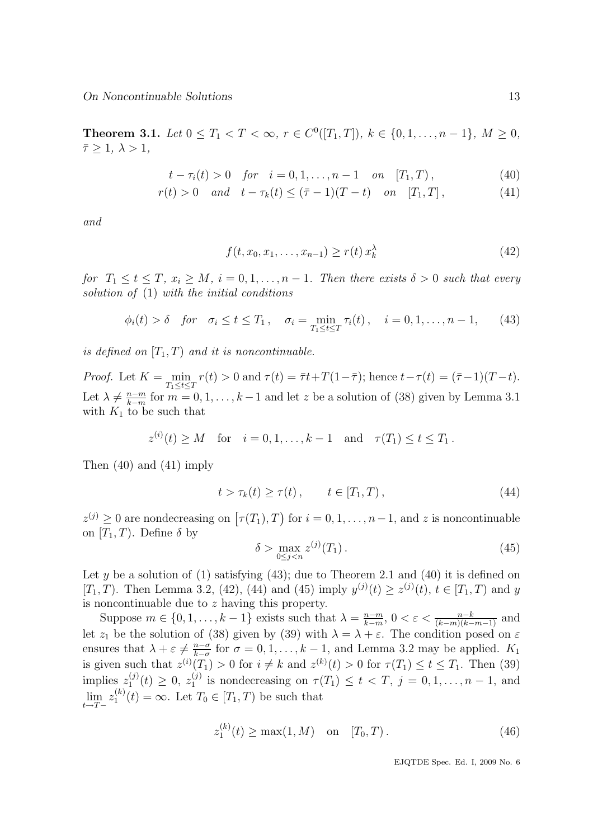**Theorem 3.1.** Let  $0 \leq T_1 < T < \infty$ ,  $r \in C^0([T_1, T]), \ k \in \{0, 1, \ldots, n-1\}, \ M \geq 0$ ,  $\bar{\tau} > 1, \lambda > 1,$ 

$$
t - \tau_i(t) > 0
$$
 for  $i = 0, 1, ..., n - 1$  on  $[T_1, T)$ , (40)

$$
r(t) > 0 \quad and \quad t - \tau_k(t) \le (\bar{\tau} - 1)(T - t) \quad on \quad [T_1, T], \tag{41}
$$

and

$$
f(t, x_0, x_1, \dots, x_{n-1}) \ge r(t) \, x_k^{\lambda} \tag{42}
$$

for  $T_1 \le t \le T$ ,  $x_i \ge M$ ,  $i = 0, 1, ..., n - 1$ . Then there exists  $\delta > 0$  such that every solution of  $(1)$  with the initial conditions

$$
\phi_i(t) > \delta \text{ for } \sigma_i \le t \le T_1, \quad \sigma_i = \min_{T_1 \le t \le T} \tau_i(t), \quad i = 0, 1, ..., n-1,
$$
 (43)

is defined on  $[T_1, T]$  and it is noncontinuable.

Proof. Let  $K = \min_{T_1 \le t \le T} r(t) > 0$  and  $\tau(t) = \overline{\tau}t + T(1-\overline{\tau})$ ; hence  $t - \tau(t) = (\overline{\tau} - 1)(T - t)$ . Let  $\lambda \neq \frac{n-m}{k-m}$  $\frac{n-m}{k-m}$  for  $m = 0, 1, \ldots, k-1$  and let z be a solution of (38) given by Lemma 3.1 with  $K_1$  to be such that

$$
z^{(i)}(t) \ge M
$$
 for  $i = 0, 1, ..., k - 1$  and  $\tau(T_1) \le t \le T_1$ .

Then (40) and (41) imply

$$
t > \tau_k(t) \ge \tau(t), \qquad t \in [T_1, T), \tag{44}
$$

 $z^{(j)} \geq 0$  are nondecreasing on  $[\tau(T_1), T]$  for  $i = 0, 1, \ldots, n-1$ , and z is noncontinuable on  $[T_1, T)$ . Define  $\delta$  by

$$
\delta > \max_{0 \le j < n} z^{(j)}(T_1). \tag{45}
$$

Let y be a solution of (1) satisfying (43); due to Theorem 2.1 and (40) it is defined on [T<sub>1</sub>, T). Then Lemma 3.2, (42), (44) and (45) imply  $y^{(j)}(t) \ge z^{(j)}(t)$ ,  $t \in [T_1, T)$  and y is noncontinuable due to z having this property.

Suppose  $m \in \{0, 1, \ldots, k-1\}$  exists such that  $\lambda = \frac{n-m}{k-m}$  $\frac{n-m}{k-m}$ ,  $0 < \varepsilon < \frac{n-k}{(k-m)(k-m-1)}$  and let  $z_1$  be the solution of (38) given by (39) with  $\lambda = \lambda + \varepsilon$ . The condition posed on  $\varepsilon$ ensures that  $\lambda + \varepsilon \neq \frac{n-\sigma}{k-\sigma}$  $\frac{n-\sigma}{k-\sigma}$  for  $\sigma = 0, 1, \ldots, k-1$ , and Lemma 3.2 may be applied.  $K_1$ is given such that  $z^{(i)}(T_1) > 0$  for  $i \neq k$  and  $z^{(k)}(t) > 0$  for  $\tau(T_1) \leq t \leq T_1$ . Then (39) implies  $z_1^{(j)}$  $t_1^{(j)}(t) \geq 0, z_1^{(j)}$  $\tau_1^{(j)}$  is nondecreasing on  $\tau(T_1) \leq t < T$ ,  $j = 0, 1, \ldots, n - 1$ , and  $\lim_{t\to T-} z_1^{(k)}$  $T_1^{(k)}(t) = \infty$ . Let  $T_0 \in [T_1, T)$  be such that

$$
z_1^{(k)}(t) \ge \max(1, M) \quad \text{on} \quad [T_0, T). \tag{46}
$$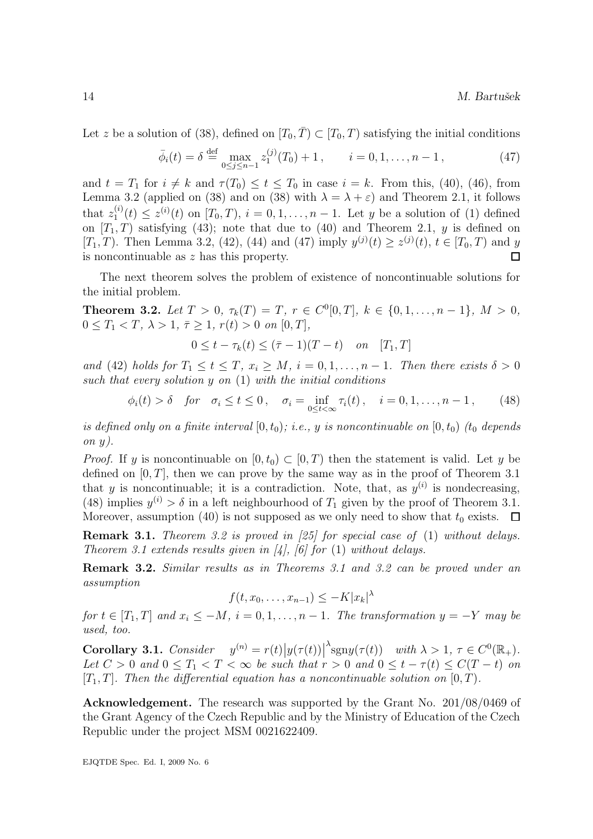Let z be a solution of (38), defined on  $[T_0, \overline{T}) \subset [T_0, T)$  satisfying the initial conditions

$$
\bar{\phi}_i(t) = \delta \stackrel{\text{def}}{=} \max_{0 \le j \le n-1} z_1^{(j)}(T_0) + 1, \qquad i = 0, 1, \dots, n-1, \tag{47}
$$

and  $t = T_1$  for  $i \neq k$  and  $\tau(T_0) \leq t \leq T_0$  in case  $i = k$ . From this, (40), (46), from Lemma 3.2 (applied on (38) and on (38) with  $\lambda = \lambda + \varepsilon$ ) and Theorem 2.1, it follows that  $z_1^{(i)}$  $I_1^{(i)}(t) \leq z^{(i)}(t)$  on  $[T_0, T), i = 0, 1, ..., n-1$ . Let y be a solution of (1) defined on  $[T_1, T)$  satisfying (43); note that due to (40) and Theorem 2.1, y is defined on [T<sub>1</sub>, T). Then Lemma 3.2, (42), (44) and (47) imply  $y^{(j)}(t) \ge z^{(j)}(t)$ ,  $t \in [T_0, T)$  and y is noncontinuable as z has this property. П

The next theorem solves the problem of existence of noncontinuable solutions for the initial problem.

**Theorem 3.2.** Let  $T > 0$ ,  $\tau_k(T) = T$ ,  $r \in C^0[0,T]$ ,  $k \in \{0,1,\ldots,n-1\}$ ,  $M > 0$ ,  $0 \leq T_1 < T, \ \lambda > 1, \ \bar{\tau} \geq 1, \ r(t) > 0 \ \text{on} \ [0, T],$ 

$$
0 \le t - \tau_k(t) \le (\bar{\tau} - 1)(T - t) \quad on \quad [T_1, T]
$$

and (42) holds for  $T_1 \le t \le T$ ,  $x_i \ge M$ ,  $i = 0, 1, ..., n-1$ . Then there exists  $\delta > 0$ such that every solution y on (1) with the initial conditions

$$
\phi_i(t) > \delta \quad \text{for} \quad \sigma_i \le t \le 0 \,, \quad \sigma_i = \inf_{0 \le t < \infty} \tau_i(t) \,, \quad i = 0, 1, \dots, n-1 \,, \tag{48}
$$

is defined only on a finite interval  $[0, t_0)$ ; i.e., y is noncontinuable on  $[0, t_0)$  (t<sub>0</sub> depends on  $y$ ).

*Proof.* If y is noncontinuable on  $[0, t_0) \subset [0, T)$  then the statement is valid. Let y be defined on  $[0, T]$ , then we can prove by the same way as in the proof of Theorem 3.1 that y is noncontinuable; it is a contradiction. Note, that, as  $y^{(i)}$  is nondecreasing, (48) implies  $y^{(i)} > \delta$  in a left neighbourhood of  $T_1$  given by the proof of Theorem 3.1. Moreover, assumption (40) is not supposed as we only need to show that  $t_0$  exists.  $\Box$ 

Remark 3.1. Theorem 3.2 is proved in [25] for special case of (1) without delays. Theorem 3.1 extends results given in [4], [6] for (1) without delays.

Remark 3.2. Similar results as in Theorems 3.1 and 3.2 can be proved under an assumption

$$
f(t, x_0, \dots, x_{n-1}) \le -K |x_k|^\lambda
$$

for  $t \in [T_1, T]$  and  $x_i \leq -M$ ,  $i = 0, 1, \ldots, n-1$ . The transformation  $y = -Y$  may be used, too.

**Corollary 3.1.** Consider  $y^{(n)} = r(t)|y(\tau(t))|$  $\lambda$  sgny( $\tau(t)$ ) with  $\lambda > 1$ ,  $\tau \in C^0(\mathbb{R}_+).$ Let  $C > 0$  and  $0 \leq T_1 < T < \infty$  be such that  $r > 0$  and  $0 \leq t - \tau(t) \leq C(T - t)$  on  $[T_1, T]$ . Then the differential equation has a noncontinuable solution on  $[0, T)$ .

Acknowledgement. The research was supported by the Grant No. 201/08/0469 of the Grant Agency of the Czech Republic and by the Ministry of Education of the Czech Republic under the project MSM 0021622409.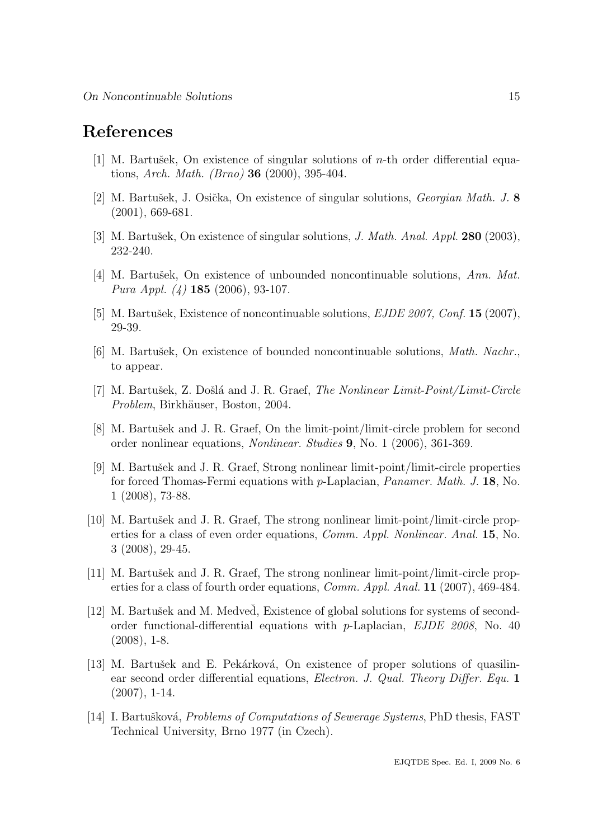## References

- [1] M. Bartušek, On existence of singular solutions of  $n$ -th order differential equations, Arch. Math. (Brno) 36 (2000), 395-404.
- [2] M. Bartušek, J. Osička, On existence of singular solutions, *Georgian Math. J.* 8 (2001), 669-681.
- [3] M. Bartušek, On existence of singular solutions, J. Math. Anal. Appl. **280** (2003), 232-240.
- [4] M. Bartušek, On existence of unbounded noncontinuable solutions, Ann. Mat. Pura Appl. (4) 185 (2006), 93-107.
- [5] M. Bartušek, Existence of noncontinuable solutions,  $EJDE$  2007, Conf. 15 (2007), 29-39.
- $[6]$  M. Bartušek, On existence of bounded noncontinuable solutions, *Math. Nachr.*, to appear.
- [7] M. Bartušek, Z. Došlá and J. R. Graef, *The Nonlinear Limit-Point/Limit-Circle* Problem, Birkhäuser, Boston, 2004.
- [8] M. Bartušek and J. R. Graef, On the limit-point/limit-circle problem for second order nonlinear equations, Nonlinear. Studies 9, No. 1 (2006), 361-369.
- [9] M. Bartušek and J. R. Graef, Strong nonlinear limit-point/limit-circle properties for forced Thomas-Fermi equations with p-Laplacian, Panamer. Math. J. 18, No. 1 (2008), 73-88.
- [10] M. Bartušek and J. R. Graef, The strong nonlinear limit-point/limit-circle properties for a class of even order equations, Comm. Appl. Nonlinear. Anal. 15, No. 3 (2008), 29-45.
- [11] M. Bartušek and J. R. Graef, The strong nonlinear limit-point/limit-circle properties for a class of fourth order equations, Comm. Appl. Anal. 11 (2007), 469-484.
- [12] M. Bartušek and M. Medved, Existence of global solutions for systems of secondorder functional-differential equations with p-Laplacian, EJDE 2008, No. 40  $(2008), 1-8.$
- [13] M. Bartušek and E. Pekárková, On existence of proper solutions of quasilinear second order differential equations, Electron. J. Qual. Theory Differ. Equ. 1 (2007), 1-14.
- [14] I. Bartušková, *Problems of Computations of Sewerage Systems*, PhD thesis, FAST Technical University, Brno 1977 (in Czech).